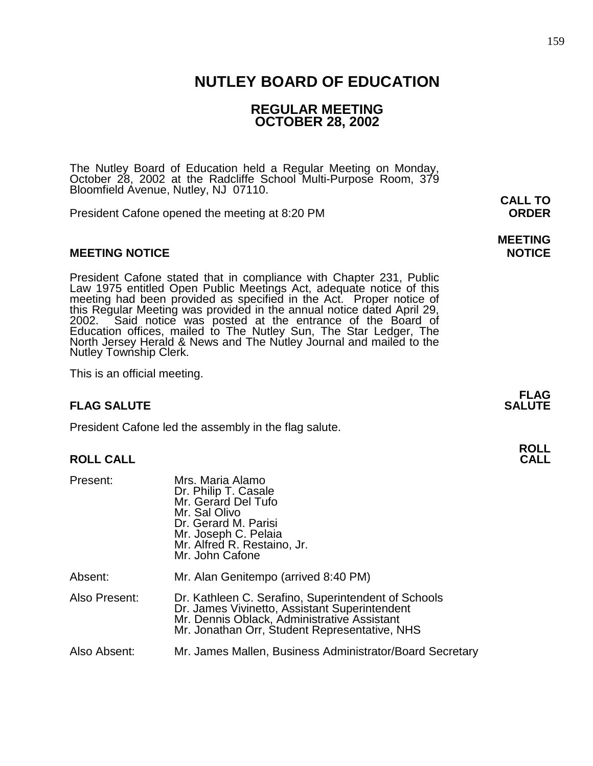## **NUTLEY BOARD OF EDUCATION**

## **REGULAR MEETING OCTOBER 28, 2002**

The Nutley Board of Education held a Regular Meeting on Monday, October 28, 2002 at the Radcliffe School Multi-Purpose Room, 379 Bloomfield Avenue, Nutley, NJ 07110. **CALL TO** 

President Cafone opened the meeting at 8:20 PM **ORDER**

#### **MEETING NOTICE NOTICE REPORTS AND ALCOHOL**

President Cafone stated that in compliance with Chapter 231, Public Law 1975 entitled Open Public Meetings Act, adequate notice of this meeting had been provided as specified in the Act. Proper notice of this Regular Meeting was provided in the annual notice dated April 29, 2002. Said notice was posted at the entrance of the Board of Education offices, mailed to The Nutley Sun, The Star Ledger, The North Jersey Herald & News and The Nutley Journal and mailed to the Nutley Township Clerk.

This is an official meeting.

#### **FLAG SALUTE** SALUTE SALUTE SALUTE SALUTE SALUTE

President Cafone led the assembly in the flag salute.

#### **ROLL CALL CALL**

| Present:      | Mrs. Maria Alamo<br>Dr. Philip T. Casale<br>Mr. Gerard Del Tufo<br>Mr. Sal Olivo<br>Dr. Gerard M. Parisi<br>Mr. Joseph C. Pelaia<br>Mr. Alfred R. Restaino, Jr.<br>Mr. John Cafone                   |
|---------------|------------------------------------------------------------------------------------------------------------------------------------------------------------------------------------------------------|
| Absent:       | Mr. Alan Genitempo (arrived 8:40 PM)                                                                                                                                                                 |
| Also Present: | Dr. Kathleen C. Serafino, Superintendent of Schools<br>Dr. James Vivinetto, Assistant Superintendent<br>Mr. Dennis Oblack, Administrative Assistant<br>Mr. Jonathan Orr, Student Representative, NHS |
| Also Absent:  | Mr. James Mallen, Business Administrator/Board Secretary                                                                                                                                             |

# **MEETING**

**FLAG**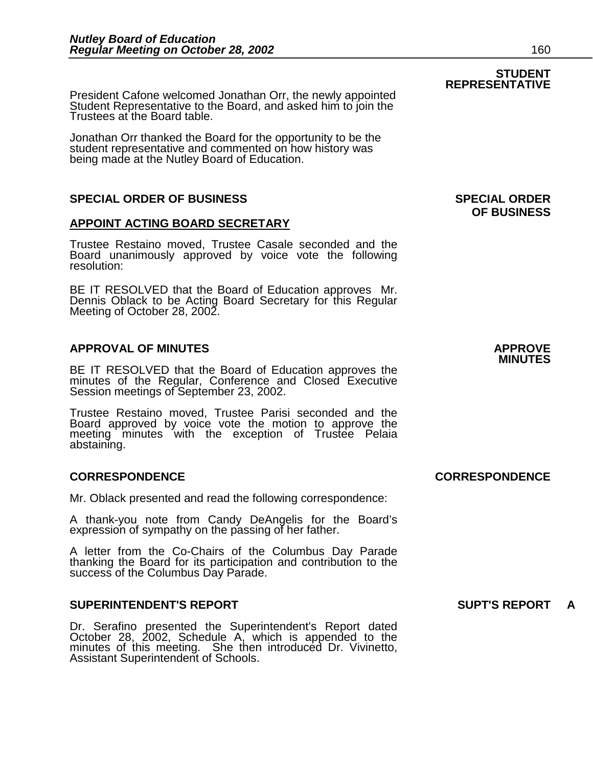**STUDENT REPRESENTATIVE** President Cafone welcomed Jonathan Orr, the newly appointed Student Representative to the Board, and asked him to join the Trustees at the Board table.

Jonathan Orr thanked the Board for the opportunity to be the student representative and commented on how history was being made at the Nutley Board of Education.

#### **SPECIAL ORDER OF BUSINESS SPECIAL ORDER**

#### **APPOINT ACTING BOARD SECRETARY**

Trustee Restaino moved, Trustee Casale seconded and the Board unanimously approved by voice vote the following resolution:

BE IT RESOLVED that the Board of Education approves Mr. Dennis Oblack to be Acting Board Secretary for this Regular Meeting of October 28, 2002.

## **APPROVAL OF MINUTES APPROVE**

**BE IT RESOLVED that the Board of Education approves the** minutes of the Regular, Conference and Closed Executive Session meetings of September 23, 2002.

Trustee Restaino moved, Trustee Parisi seconded and the Board approved by voice vote the motion to approve the meeting minutes with the exception of Trustee Pelaia abstaining.

#### **CORRESPONDENCE CORRESPONDENCE**

Mr. Oblack presented and read the following correspondence:

A thank-you note from Candy DeAngelis for the Board's expression of sympathy on the passing of her father.

A letter from the Co-Chairs of the Columbus Day Parade thanking the Board for its participation and contribution to the success of the Columbus Day Parade.

#### **SUPERINTENDENT'S REPORT SUPT'S REPORT A**

Dr. Serafino presented the Superintendent's Report dated October 28, 2002, Schedule A, which is appended to the minutes of this meeting. She then introduced Dr. Vivinetto, Assistant Superintendent of Schools.

**OF BUSINESS**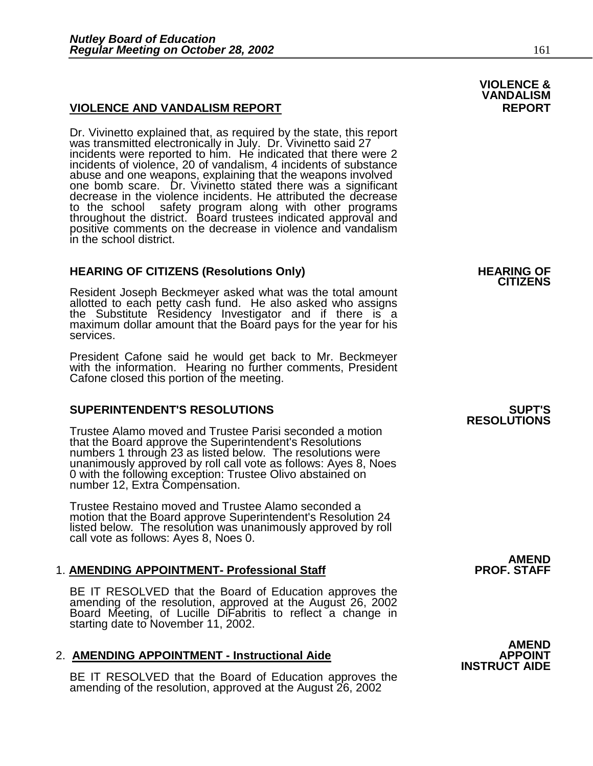#### **VIOLENCE AND VANDALISM REPORT REPORT**

Dr. Vivinetto explained that, as required by the state, this report was transmitted electronically in July. Dr. Vivinetto said 27 incidents were reported to him. He indicated that there were 2 incidents of violence, 20 of vandalism, 4 incidents of substance abuse and one weapons, explaining that the weapons involved one bomb scare. Dr. Vivinetto stated there was a significant decrease in the violence incidents. He attributed the decrease to the school safety program along with other programs throughout the district. Board trustees indicated approval and positive comments on the decrease in violence and vandalism in the school district.

## **HEARING OF CITIZENS (Resolutions Only) HEARING OF CITIZENS**

Resident Joseph Beckmeyer asked what was the total amount allotted to each petty cash fund. He also asked who assigns the Substitute Residency Investigator and if there is a maximum dollar amount that the Board pays for the year for his services.

President Cafone said he would get back to Mr. Beckmeyer with the information. Hearing no further comments, President Cafone closed this portion of the meeting.

#### **SUPERINTENDENT'S RESOLUTIONS SUPT'S**

Trustee Alamo moved and Trustee Parisi seconded a motion that the Board approve the Superintendent's Resolutions numbers 1 through 23 as listed below. The resolutions were unanimously approved by roll call vote as follows: Ayes 8, Noes 0 with the following exception: Trustee Olivo abstained on number 12, Extra Compensation.

Trustee Restaino moved and Trustee Alamo seconded a motion that the Board approve Superintendent's Resolution 24 listed below. The resolution was unanimously approved by roll call vote as follows: Ayes 8, Noes 0.

### 1. **AMENDING APPOINTMENT- Professional Staff PROF. STAFF**

BE IT RESOLVED that the Board of Education approves the amending of the resolution, approved at the August 26, 2002 Board Meeting, of Lucille DiFabritis to reflect a change in starting date to November 11, 2002.

## 2. **AMENDING APPOINTMENT - Instructional Aide APPOINT INSTRUCT AIDE**

BE IT RESOLVED that the Board of Education approves the amending of the resolution, approved at the August 26, 2002

# **RESOLUTIONS**

**AMEND** 

# **AMEND**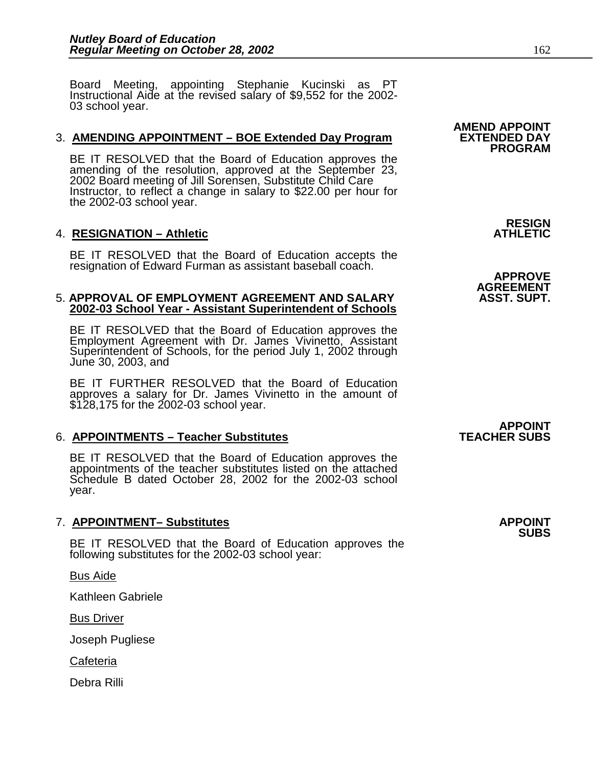Board Meeting, appointing Stephanie Kucinski as PT Instructional Aide at the revised salary of \$9,552 for the 2002- 03 school year.

#### 3. **AMENDING APPOINTMENT – BOE Extended Day Program**

BE IT RESOLVED that the Board of Education approves the amending of the resolution, approved at the September 23, 2002 Board meeting of Jill Sorensen, Substitute Child Care Instructor, to reflect a change in salary to \$22.00 per hour for the 2002-03 school year.

#### **4. RESIGNATION – Athletic**

BE IT RESOLVED that the Board of Education accepts the resignation of Edward Furman as assistant baseball coach.<br>APPROVE AGREEMENT<br>APPROVAL OF EMPLOYMENT AGREEMENT AND SALARY **ASST. SUPT.** 

#### **5. APPROVAL OF EMPLOYMENT AGREEMENT AND SALARY 2002-03 School Year - Assistant Superintendent of Schools**

BE IT RESOLVED that the Board of Education approves the Employment Agreement with Dr. James Vivinetto, Assistant Superintendent of Schools, for the period July 1, 2002 through June 30, 2003, and

BE IT FURTHER RESOLVED that the Board of Education approves a salary for Dr. James Vivinetto in the amount of \$128,175 for the 2002-03 school year.

#### 6. **APPOINTMENTS – Teacher Substitutes**

BE IT RESOLVED that the Board of Education approves the appointments of the teacher substitutes listed on the attached Schedule B dated October 28, 2002 for the 2002-03 school year.

#### 7. **APPOINTMENT– Substitutes APPOINT**

BE IT RESOLVED that the Board of Education approves the following substitutes for the 2002-03 school year:

Bus Aide

Kathleen Gabriele

Bus Driver

Joseph Pugliese

**Cafeteria** 

Debra Rilli

**AMEND APPOINT PROGRAM** 

RESIGN<br>ATHLETIC

**APPOINT<br>TEACHER SUBS** 

**SUBS**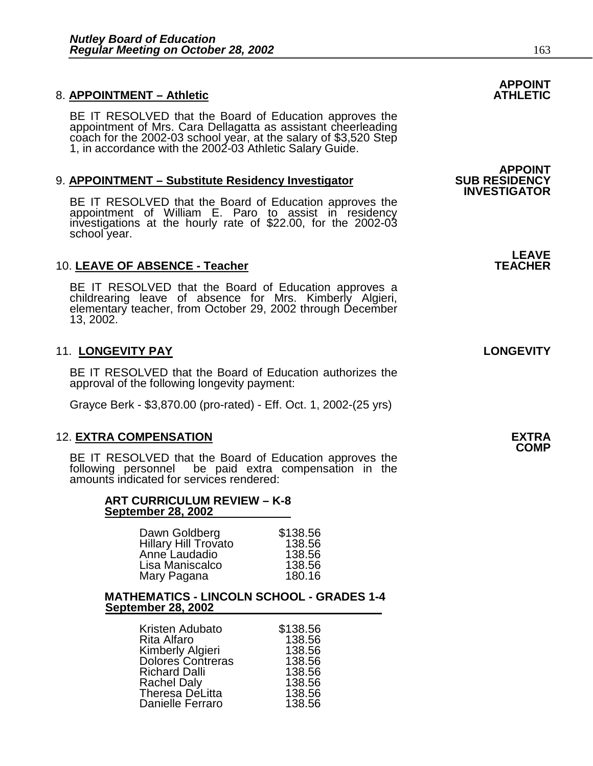### 8. **APPOINTMENT – Athletic**

BE IT RESOLVED that the Board of Education approves the appointment of Mrs. Cara Dellagatta as assistant cheerleading coach for the 2002-03 school year, at the salary of \$3,520 Step 1, in accordance with the 2002-03 Athletic Salary Guide.

#### 9. **APPOINTMENT – Substitute Residency Investigator**

BE IT RESOLVED that the Board of Education approves the appointment of William E. Paro to assist in residency investigations at the hourly rate of \$22.00, for the 2002-03 school year.

#### 10. LEAVE OF ABSENCE - Teacher

BE IT RESOLVED that the Board of Education approves a childrearing leave of absence for Mrs. Kimberly Algieri, elementary teacher, from October 29, 2002 through December 13, 2002.

#### 11. **LONGEVITY PAY LONGEVITY**

BE IT RESOLVED that the Board of Education authorizes the approval of the following longevity payment:

Grayce Berk - \$3,870.00 (pro-rated) - Eff. Oct. 1, 2002-(25 yrs)

#### 12. **EXTRA COMPENSATION EXTRA**

BE IT RESOLVED that the Board of Education approves the following personnel be paid extra compensation in the amounts indicated for services rendered:

# **ART CURRICULUM REVIEW – K-8 September 28, 2002**

| Dawn Goldberg               | \$138.56 |
|-----------------------------|----------|
| <b>Hillary Hill Trovato</b> | 138.56   |
| Anne Laudadio               | 138.56   |
| Lisa Maniscalco             | 138.56   |
| Mary Pagana                 | 180.16   |

#### **MATHEMATICS - LINCOLN SCHOOL - GRADES 1-4 September 28, 2002**

| Kristen Adubato          | \$138.56 |
|--------------------------|----------|
| <b>Rita Alfaro</b>       | 138.56   |
| Kimberly Algieri         | 138.56   |
| <b>Dolores Contreras</b> | 138.56   |
| <b>Richard Dalli</b>     | 138.56   |
| <b>Rachel Daly</b>       | 138.56   |
| <b>Theresa DeLitta</b>   | 138.56   |
| Danielle Ferraro         | 138.56   |

# **APPOINT**

**APPOINT<br>SUB RESIDENCY INVESTIGATOR** 

# **LEAVE**<br>TEACHER

**COMP**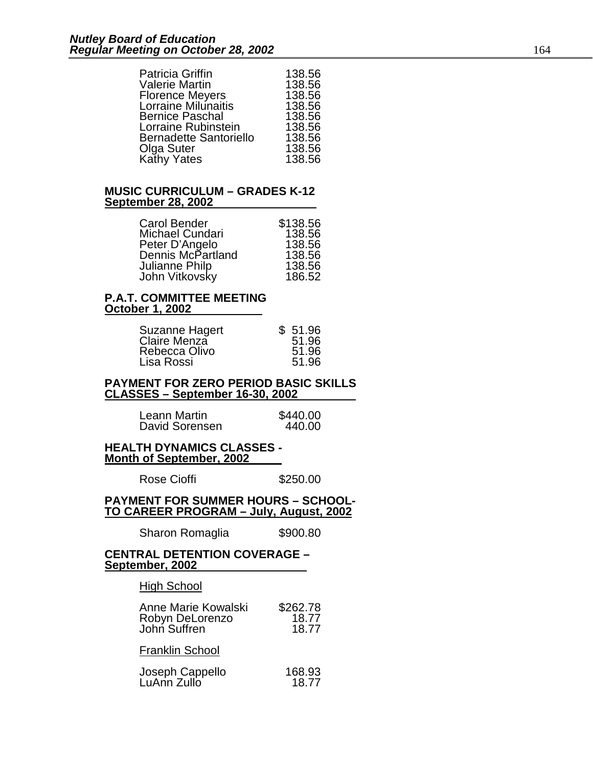| 138.56<br>138.56<br>138.56<br>138.56<br>138.56<br>138.56<br>138.56 |
|--------------------------------------------------------------------|
|                                                                    |
| 138.56                                                             |
| 138.56                                                             |
|                                                                    |

#### **MUSIC CURRICULUM – GRADES K-12 September 28, 2002**

| Carol Bender      | \$138.56 |
|-------------------|----------|
| Michael Cundari   | 138.56   |
| Peter D'Angelo    | 138.56   |
| Dennis McPartland | 138.56   |
| Julianne Philp    | 138.56   |
| John Vitkovsky    | 186.52   |

#### **P.A.T. COMMITTEE MEETING October 1, 2002**

| Suzanne Hagert | \$51.96 |
|----------------|---------|
| Claire Menza   | 51.96   |
| Rebecca Olivo  | 51.96   |
| Lisa Rossi     | 51.96   |

#### **PAYMENT FOR ZERO PERIOD BASIC SKILLS CLASSES – September 16-30, 2002**

| Leann Martin   | \$440.00 |
|----------------|----------|
| David Sorensen | 440.00   |

**HEALTH DYNAMICS CLASSES - Month of September, 2002**

Rose Cioffi **\$250.00** 

#### **PAYMENT FOR SUMMER HOURS – SCHOOL- TO CAREER PROGRAM – July, August, 2002**

Sharon Romaglia \$900.80

#### **CENTRAL DETENTION COVERAGE – September, 2002**

#### **High School**

| Anne Marie Kowalski<br>Robyn DeLorenzo<br>John Suffren | \$262.78<br>18.77<br>18.77 |
|--------------------------------------------------------|----------------------------|
| <b>Franklin School</b>                                 |                            |
| Joseph Cappello<br>LuAnn Zullo                         | 168.93<br>18.77            |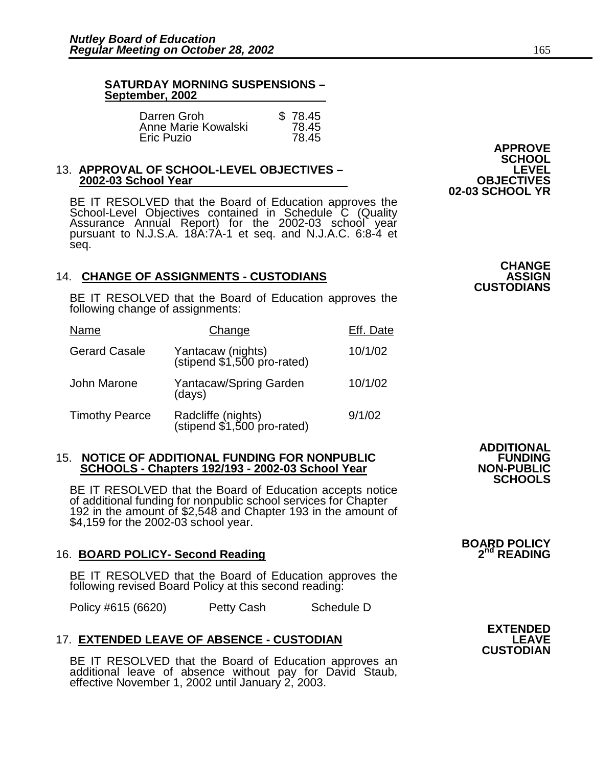٦

#### **SATURDAY MORNING SUSPENSIONS – September, 2002**

| Darren Groh         | \$78.45 |
|---------------------|---------|
| Anne Marie Kowalski | 78.45   |
| <b>Eric Puzio</b>   | 78.45   |

#### 13. **APPROVAL OF SCHOOL-LEVEL OBJECTIVES – LEVEL 2002-03 School Year**

BE IT RESOLVED that the Board of Education approves the School-Level Objectives contained in Schedule C (Quality Assurance Annual Report) for the 2002-03 school year pursuant to N.J.S.A. 18A:7A-1 et seq. and N.J.A.C. 6:8-4 et seq.

#### **14. CHANGE OF ASSIGNMENTS - CUSTODIANS**

BE IT RESOLVED that the Board of Education approves the following change of assignments:

| Name                  | Change                                            | Eff. Date |
|-----------------------|---------------------------------------------------|-----------|
| <b>Gerard Casale</b>  | Yantacaw (nights)<br>(stipend \$1,500 pro-rated)  | 10/1/02   |
| John Marone           | Yantacaw/Spring Garden<br>(days)                  | 10/1/02   |
| <b>Timothy Pearce</b> | Radcliffe (nights)<br>(stipend \$1,500 pro-rated) | 9/1/02    |

#### 15. **NOTICE OF ADDITIONAL FUNDING FOR NONPUBLIC 6 AUGLICAL FUNDING**<br>SCHOOLS - Chapters 192/193 - 2002-03 School Year **SCHOOLS - Chapters 192/193 - 2002-03 School Year**

BE IT RESOLVED that the Board of Education accepts notice of additional funding for nonpublic school services for Chapter 192 in the amount of \$2,548 and Chapter 193 in the amount of \$4,159 for the 2002-03 school year.

#### 16. **BOARD POLICY- Second Reading**

BE IT RESOLVED that the Board of Education approves the following revised Board Policy at this second reading:

Policy #615 (6620) Petty Cash Schedule D

## **17. EXTENDED LEAVE OF ABSENCE - CUSTODIAN**

BE IT RESOLVED that the Board of Education approves an additional leave of absence without pay for David Staub, effective November 1, 2002 until January 2, 2003.

**APPROVE SCHOOL 02-03 SCHOOL YR** 

## **CHANGE CUSTODIANS**

## **ADDITIONAL SCHOOLS**

# **BOARD POLICY**

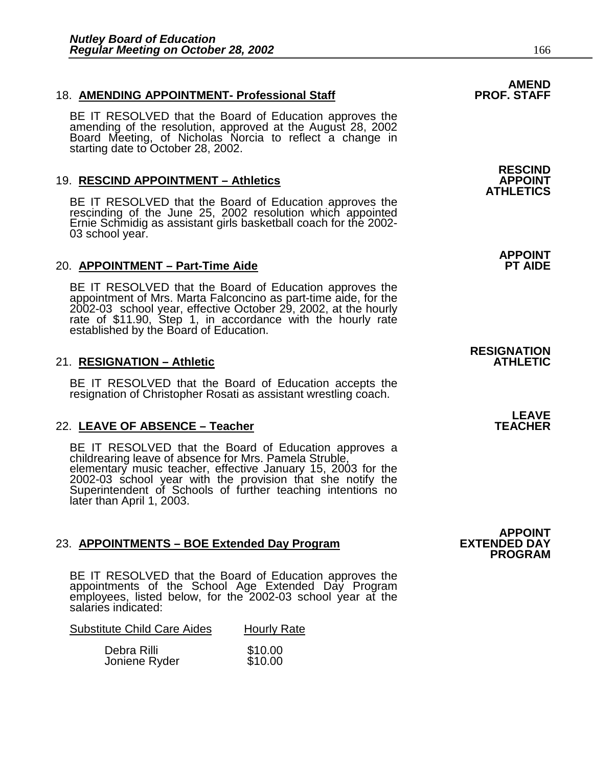### 18. **AMENDING APPOINTMENT- Professional Staff PROF. STAFF**

BE IT RESOLVED that the Board of Education approves the amending of the resolution, approved at the August 28, 2002 Board Meeting, of Nicholas Norcia to reflect a change in starting date to October 28, 2002.

### **19. RESCIND APPOINTMENT - Athletics**

BE IT RESOLVED that the Board of Education approves the rescinding of the June 25, 2002 resolution which appointed Ernie Schmidig as assistant girls basketball coach for the 2002- 03 school year.

### 20. **APPOINTMENT – Part-Time Aide**

BE IT RESOLVED that the Board of Education approves the appointment of Mrs. Marta Falconcino as part-time aide, for the 2002-03 school year, effective October 29, 2002, at the hourly rate of \$11.90, Step 1, in accordance with the hourly rate established by the Board of Education.

### 21. **RESIGNATION – Athletic ATHLETIC**

BE IT RESOLVED that the Board of Education accepts the resignation of Christopher Rosati as assistant wrestling coach.

## 22. LEAVE OF ABSENCE - Teacher

BE IT RESOLVED that the Board of Education approves a childrearing leave of absence for Mrs. Pamela Struble, elementary music teacher, effective January 15, 2003 for the 2002-03 school year with the provision that she notify the Superintendent of Schools of further teaching intentions no later than April 1, 2003.

#### 23. **APPOINTMENTS – BOE Extended Day Program**

BE IT RESOLVED that the Board of Education approves the appointments of the School Age Extended Day Program employees, listed below, for the 2002-03 school year at the salaries indicated:

| <b>Substitute Child Care Aides</b> |  | <b>Hourly Rate</b> |
|------------------------------------|--|--------------------|
|                                    |  |                    |

| Debra Rilli   | \$10.00 |
|---------------|---------|
| Joniene Ryder | \$10.00 |

## **RESCIND ATHLETICS**

**APPOINT** 

# **RESIGNATION**

**LEAVE**<br>TEACHER

**APPOINT<br>EXTENDED DAY PROGRAM**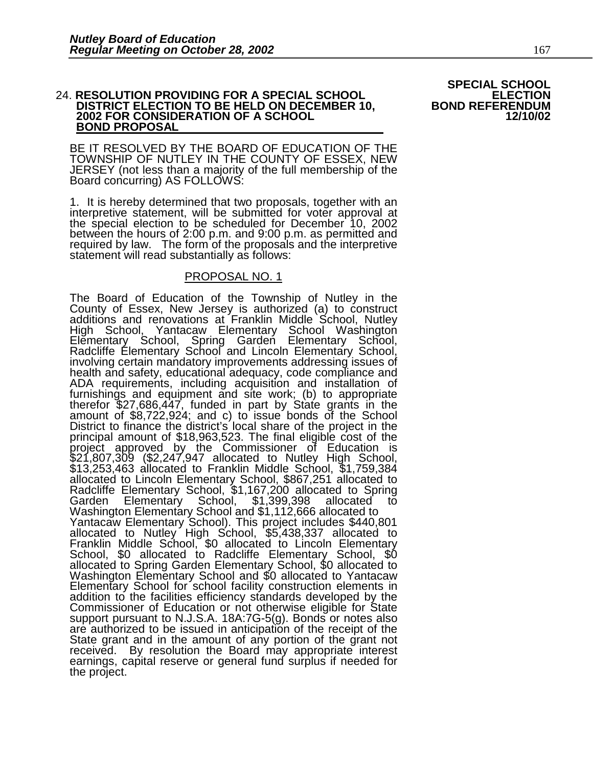#### 24. RESOLUTION PROVIDING FOR A SPECIAL SCHOOL **DISTRICT ELECTION TO BE HELD ON DECEMBER 10, EAST RIGHT BOND REFERENDUM**<br>2002 FOR CONSIDERATION OF A SCHOOL 12/10/02 **2002 FOR CONSIDERATION OF A SCHOOL BOND PROPOSAL**

 BE IT RESOLVED BY THE BOARD OF EDUCATION OF THE TOWNSHIP OF NUTLEY IN THE COUNTY OF ESSEX, NEW JERSEY (not less than a majority of the full membership of the Board concurring) AS FOLLOWS:

1. It is hereby determined that two proposals, together with an interpretive statement, will be submitted for voter approval at the special election to be scheduled for December 10, 2002 between the hours of 2:00 p.m. and 9:00 p.m. as permitted and required by law. The form of the proposals and the interpretive statement will read substantially as follows:

#### PROPOSAL NO. 1

The Board of Education of the Township of Nutley in the County of Essex, New Jersey is authorized (a) to construct additions and renovations at Franklin Middle School, Nutley High School, Yantacaw Elementary School Washington Elĕmentary School, Spring Garden Elementary School, Radcliffe Elementary School and Lincoln Elementary School, involving certain mandatory improvements addressing issues of health and safety, educational adequacy, code compliance and ADA requirements, including acquisition and installation of furnishings and equipment and site work; (b) to appropriate therefor \$27,686,447, funded in part by State grants in the amount of \$8,722,924; and c) to issue bonds of the School District to finance the district's local share of the project in the principal amount of \$18,963,523. The final eligible cost of the project approved by the Commissioner of Education is \$21,807,309 (\$2,247,947 allocated to Nutley High School, \$13,253,463 allocated to Franklin Middle School, \$1,759,384 allocated to Lincoln Elementary School, \$867,251 allocated to Radcliffe Elementary School, \$1,167,200 allocated to Spring Garden Elementary School, \$1,399,398 allocated to Washington Elementary School and \$1,112,666 allocated to Yantacaw Elementary School). This project includes \$440,801 allocated to Nutley High School, \$5,438,337 allocated to Franklin Middle School, \$0 allocated to Lincoln Elementary School, \$0 allocated to Radcliffe Elementary School, \$0 allocated to Spring Garden Elementary School, \$0 allocated to Washington Elementary School and \$0 allocated to Yantacaw Elementary School for school facility construction elements in addition to the facilities efficiency standards developed by the Commissioner of Education or not otherwise eligible for State support pursuant to N.J.S.A. 18A:7G-5(g). Bonds or notes also are authorized to be issued in anticipation of the receipt of the State grant and in the amount of any portion of the grant not received. By resolution the Board may appropriate interest earnings, capital reserve or general fund surplus if needed for the project.

# **SPECIAL SCHOOL<br>ELECTION<br>BOND REFERENDUM**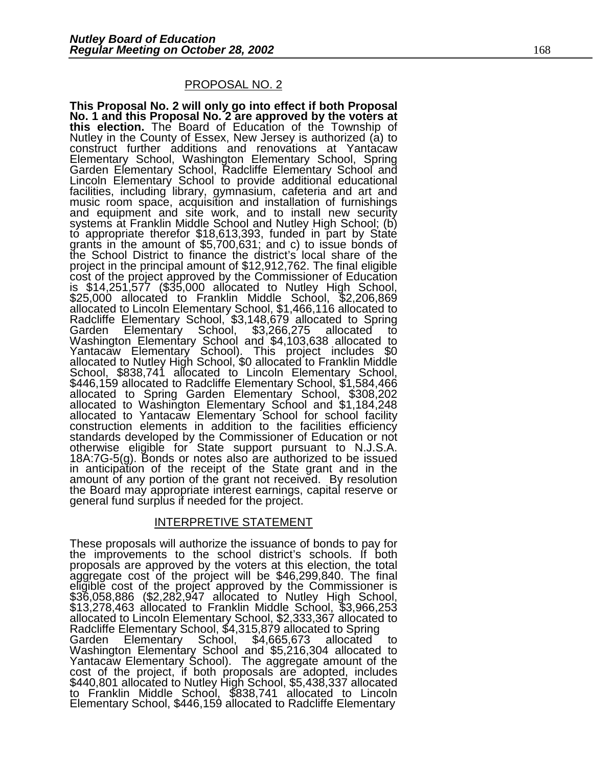#### PROPOSAL NO. 2

**This Proposal No. 2 will only go into effect if both Proposal No. 1 and this Proposal No. 2 are approved by the voters at this election.** The Board of Education of the Township of<br>Nutley in the County of Essex, New Jersey is authorized (a) to Nutley in the County of Essex, New Jersey is authorized (a) to construct further additions and renovations at Yantacaw Elementary School, Washington Elementary School, Spring Garden Elementary School, Radcliffe Elementary School and Lincoln Elementary School to provide additional educational facilities, including library, gymnasium, cafeteria and art and music room space, acquisition and installation of furnishings and equipment and site work, and to install new security systems at Franklin Middle School and Nutley High School; (b) to appropriate therefor \$18,613,393, funded in part by State grants in the amount of \$5,700,631; and c) to issue bonds of the School District to finance the district's local share of the project in the principal amount of \$12,912,762. The final eligible cost of the project approved by the Commissioner of Education is \$14,251,577 (\$35,000 allocated to Nutley High School, \$25,000 allocated to Franklin Middle School, \$2,206,869 allocated to Lincoln Elementary School, \$1,466,116 allocated to Radcliffe Elementary School, \$3,148,679 allocated to Spring Garden Elementary School, \$3,266,275 allocated to Washington Elementary School and \$4,103,638 allocated to Yantacaw Elementary School). This project includes \$0 allocated to Nutley High School, \$0 allocated to Franklin Middle School, \$838,741 allocated to Lincoln Elementary School, \$446,159 allocated to Radcliffe Elementary School, \$1,584,466 allocated to Spring Garden Elementary School, \$308,202 allocated to Washington Elementary School and \$1,184,248 allocated to Yantacaw Elementary School for school facility construction elements in addition to the facilities efficiency standards developed by the Commissioner of Education or not otherwise eligible for State support pursuant to N.J.S.A. 18A:7G-5(g). Bonds or notes also are authorized to be issued in anticipation of the receipt of the State grant and in the amount of any portion of the grant not received. By resolution the Board may appropriate interest earnings, capital reserve or general fund surplus if needed for the project.

#### INTERPRETIVE STATEMENT

These proposals will authorize the issuance of bonds to pay for the improvements to the school district's schools. If both proposals are approved by the voters at this election, the total aggregate cost of the project will be \$46,299,840. The final eligible cost of the project approved by the Commissioner is \$36,058,886 (\$2,282,947 allocated to Nutley High School, \$13,278,463 allocated to Franklin Middle School, \$3,966,253 allocated to Lincoln Elementary School, \$2,333,367 allocated to Radcliffe Elementary School, \$4,315,879 allocated to Spring<br>Garden Elementary School, \$4,665,673 allocated Garden Elementary School, \$4,665,673 allocated to Washington Elementary School and \$5,216,304 allocated to Yantacaw Elementary School). The aggregate amount of the cost of the project, if both proposals are adopted, includes \$440,801 allocated to Nutley High School, \$5,438,337 allocated to Franklin Middle School, \$838,741 allocated to Lincoln Elementary School, \$446,159 allocated to Radcliffe Elementary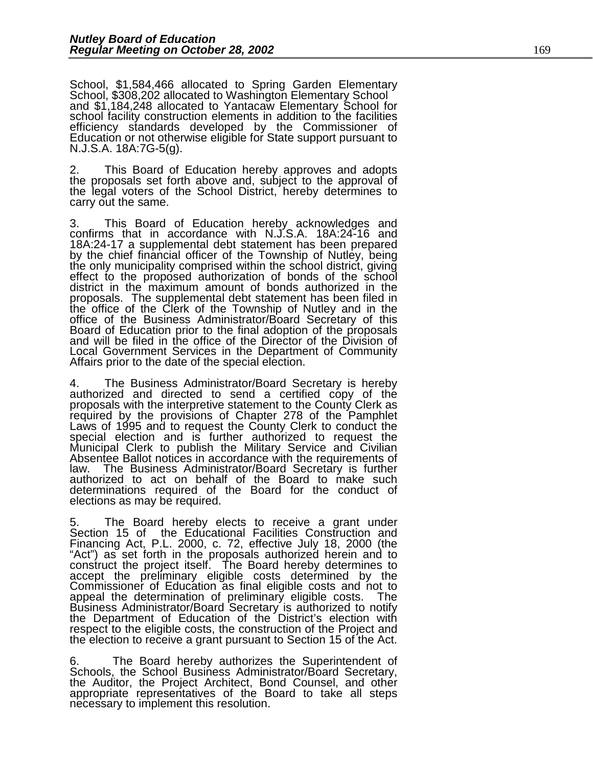School, \$1,584,466 allocated to Spring Garden Elementary School, \$308,202 allocated to Washington Elementary School and \$1,184,248 allocated to Yantacaw Elementary School for school facility construction elements in addition to the facilities efficiency standards developed by the Commissioner of Education or not otherwise eligible for State support pursuant to N.J.S.A. 18A:7G-5(g).

2. This Board of Education hereby approves and adopts the proposals set forth above and, subject to the approval of the legal voters of the School District, hereby determines to carry out the same.

3. This Board of Education hereby acknowledges and confirms that in accordance with N.J.S.A. 18A:24-16 and 18A:24-17 a supplemental debt statement has been prepared by the chief financial officer of the Township of Nutley, being the only municipality comprised within the school district, giving effect to the proposed authorization of bonds of the school district in the maximum amount of bonds authorized in the proposals. The supplemental debt statement has been filed in the office of the Clerk of the Township of Nutley and in the office of the Business Administrator/Board Secretary of this Board of Education prior to the final adoption of the proposals and will be filed in the office of the Director of the Division of Local Government Services in the Department of Community Affairs prior to the date of the special election.

4. The Business Administrator/Board Secretary is hereby authorized and directed to send a certified copy of the proposals with the interpretive statement to the County Clerk as required by the provisions of Chapter 278 of the Pamphlet Laws of 1995 and to request the County Clerk to conduct the special election and is further authorized to request the Municipal Clerk to publish the Military Service and Civilian Absentee Ballot notices in accordance with the requirements of law. The Business Administrator/Board Secretary is further The Business Administrator/Board Secretary is further authorized to act on behalf of the Board to make such determinations required of the Board for the conduct of elections as may be required.

The Board hereby elects to receive a grant under Section 15 of the Educational Facilities Construction and Financing Act, P.L. 2000, c. 72, effective July 18, 2000 (the "Act") as set forth in the proposals authorized herein and to construct the project itself. The Board hereby determines to accept the preliminary eligible costs determined by the Commissioner of Education as final eligible costs and not to appeal the determination of preliminary eligible costs. The Business Administrator/Board Secretary is authorized to notify the Department of Education of the District's election with respect to the eligible costs, the construction of the Project and the election to receive a grant pursuant to Section 15 of the Act.

6. The Board hereby authorizes the Superintendent of Schools, the School Business Administrator/Board Secretary, the Auditor, the Project Architect, Bond Counsel, and other appropriate representatives of the Board to take all steps necessary to implement this resolution.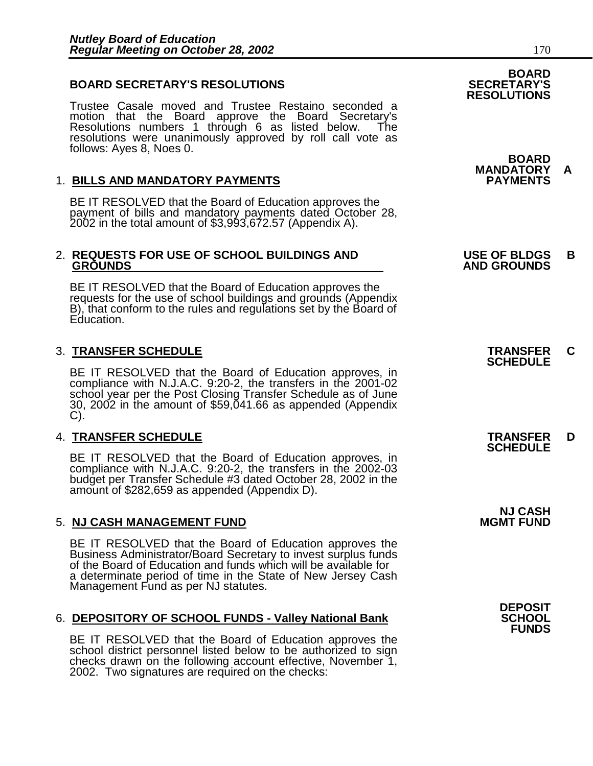#### **BOARD SECRETARY'S RESOLUTIONS**

Trustee Casale moved and Trustee Restaino seconded a motion that the Board approve the Board Secretary's Resolutions numbers 1 through 6 as listed below. The resolutions were unanimously approved by roll call vote as follows: Ayes 8, Noes 0.

#### 1. **BILLS AND MANDATORY PAYMENTS PAYMENTS**

BE IT RESOLVED that the Board of Education approves the payment of bills and mandatory payments dated October 28, 2002 in the total amount of \$3,993,672.57 (Appendix A).

# 2. **REQUESTS FOR USE OF SCHOOL BUILDINGS AND USE OF BLDGS B**

BE IT RESOLVED that the Board of Education approves the requests for the use of school buildings and grounds (Appendix B), that conform to the rules and regulations set by the Board of Education.

## 3. **TRANSFER SCHEDULE TRANSFER C SCHEDULE**

BE IT RESOLVED that the Board of Education approves, in compliance with N.J.A.C. 9:20-2, the transfers in the 2001-02 school year per the Post Closing Transfer Schedule as of June 30, 2002 in the amount of \$59,041.66 as appended (Appendix C).

## 4. **TRANSFER SCHEDULE TRANSFER D SCHEDULE**

BE IT RESOLVED that the Board of Education approves, in compliance with N.J.A.C. 9:20-2, the transfers in the 2002-03 budget per Transfer Schedule #3 dated October 28, 2002 in the amount of \$282,659 as appended (Appendix D).

#### **5. NJ CASH MANAGEMENT FUND**

BE IT RESOLVED that the Board of Education approves the Business Administrator/Board Secretary to invest surplus funds of the Board of Education and funds which will be available for a determinate period of time in the State of New Jersey Cash Management Fund as per NJ statutes.

#### **6. DEPOSITORY OF SCHOOL FUNDS - Valley National Bank**

BE IT RESOLVED that the Board of Education approves the school district personnel listed below to be authorized to sign checks drawn on the following account effective, November 1, 2002. Two signatures are required on the checks:

## **BOARD<br>SECRETARY'S RESOLUTIONS**

 **BOARD MANDATORY A** 

 **GROUNDS AND GROUNDS** 

**NJ CASH<br>MGMT FUND** 

**DEPOSIT FUNDS**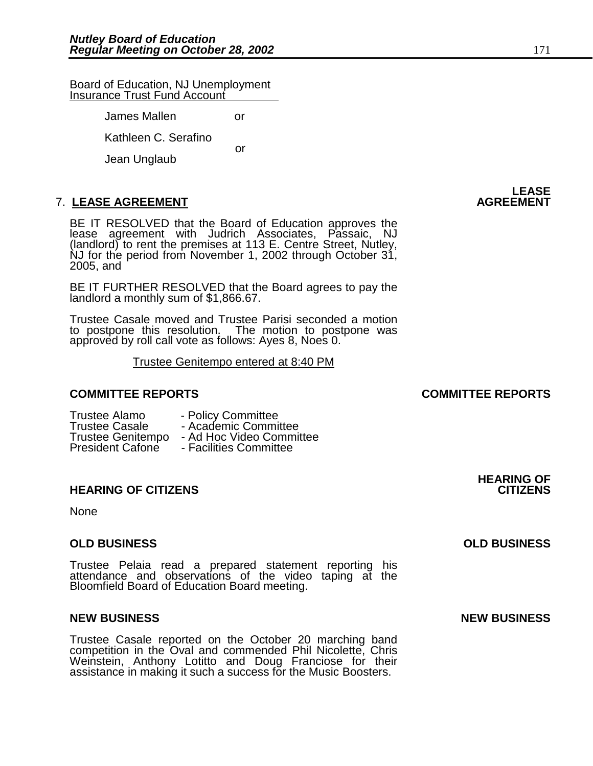Board of Education, NJ Unemployment Insurance Trust Fund Account

> James Mallen or Kathleen C. Serafino or Jean Unglaub

## **7. LEASE AGREEMENT**

BE IT RESOLVED that the Board of Education approves the lease agreement with Judrich Associates, Passaic, NJ (landlord) to rent the premises at 113 E. Centre Street, Nutley, NJ for the period from November 1, 2002 through October 31, 2005, and

BE IT FURTHER RESOLVED that the Board agrees to pay the landlord a monthly sum of \$1,866.67.

Trustee Casale moved and Trustee Parisi seconded a motion to postpone this resolution. The motion to postpone was approved by roll call vote as follows: Ayes 8, Noes 0.

Trustee Genitempo entered at 8:40 PM

#### **COMMITTEE REPORTS COMMITTEE REPORTS**

- Trustee Alamo Policy Committee<br>Trustee Casale Academic Commi
- 
- Academic Committee
- Trustee Genitempo Ad Hoc Video Committee
- President Cafone Facilities Committee

#### **HEARING OF CITIZENS**

None

#### **OLD BUSINESS OLD BUSINESS**

Trustee Pelaia read a prepared statement reporting his attendance and observations of the video taping at the Bloomfield Board of Education Board meeting.

#### **NEW BUSINESS NEW BUSINESS**

Trustee Casale reported on the October 20 marching band competition in the Oval and commended Phil Nicolette, Chris Weinstein, Anthony Lotitto and Doug Franciose for their assistance in making it such a success for the Music Boosters.

**LEASE**<br>AGREEMENT

**HEARING OF**